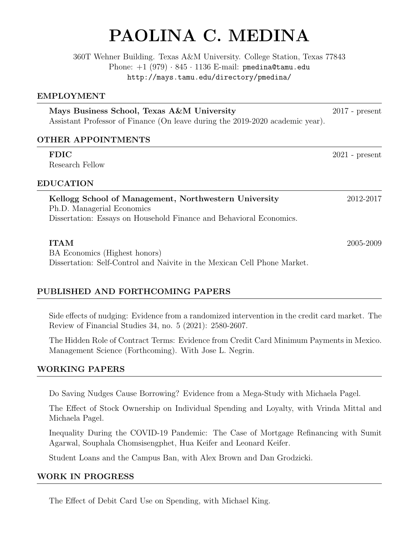# PAOLINA C. MEDINA

360T Wehner Building. Texas A&M University. College Station, Texas 77843 Phone:  $+1$  (979)  $\cdot$  845  $\cdot$  1136 E-mail: pmedina@tamu.edu http://mays.tamu.edu/directory/pmedina/

### EMPLOYMENT

| Mays Business School, Texas A&M University                                    | $2017$ - present |
|-------------------------------------------------------------------------------|------------------|
| Assistant Professor of Finance (On leave during the 2019-2020 academic year). |                  |

# OTHER APPOINTMENTS

| <b>FDIC</b>                                                              | $2021$ - present |
|--------------------------------------------------------------------------|------------------|
| Research Fellow                                                          |                  |
| <b>EDUCATION</b>                                                         |                  |
| Kellogg School of Management, Northwestern University                    | 2012-2017        |
| Ph.D. Managerial Economics                                               |                  |
| Dissertation: Essays on Household Finance and Behavioral Economics.      |                  |
| <b>ITAM</b>                                                              | 2005-2009        |
| BA Economics (Highest honors)                                            |                  |
| Dissertation: Self-Control and Naivite in the Mexican Cell Phone Market. |                  |

# PUBLISHED AND FORTHCOMING PAPERS

Side effects of nudging: Evidence from a randomized intervention in the credit card market. The Review of Financial Studies 34, no. 5 (2021): 2580-2607.

The Hidden Role of Contract Terms: Evidence from Credit Card Minimum Payments in Mexico. Management Science (Forthcoming). With Jose L. Negrin.

# WORKING PAPERS

Do Saving Nudges Cause Borrowing? Evidence from a Mega-Study with Michaela Pagel.

The Effect of Stock Ownership on Individual Spending and Loyalty, with Vrinda Mittal and Michaela Pagel.

Inequality During the COVID-19 Pandemic: The Case of Mortgage Refinancing with Sumit Agarwal, Souphala Chomsisengphet, Hua Keifer and Leonard Keifer.

Student Loans and the Campus Ban, with Alex Brown and Dan Grodzicki.

# WORK IN PROGRESS

The Effect of Debit Card Use on Spending, with Michael King.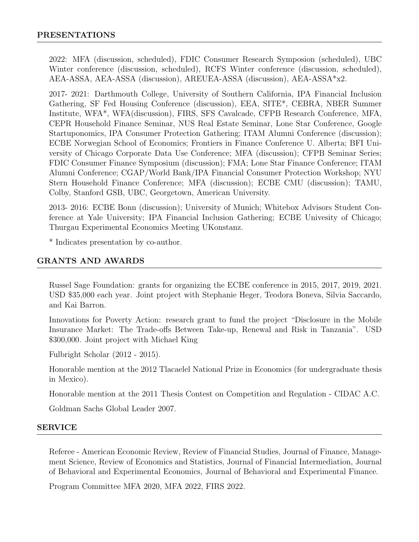2022: MFA (discussion, scheduled), FDIC Consumer Research Symposion (scheduled), UBC Winter conference (discussion, scheduled), RCFS Winter conference (discussion, scheduled), AEA-ASSA, AEA-ASSA (discussion), AREUEA-ASSA (discussion), AEA-ASSA\*x2.

2017- 2021: Darthmouth College, University of Southern California, IPA Financial Inclusion Gathering, SF Fed Housing Conference (discussion), EEA, SITE\*, CEBRA, NBER Summer Institute, WFA\*, WFA(discussion), FIRS, SFS Cavalcade, CFPB Research Conference, MFA, CEPR Household Finance Seminar, NUS Real Estate Seminar, Lone Star Conference, Google Startuponomics, IPA Consumer Protection Gathering; ITAM Alumni Conference (discussion); ECBE Norwegian School of Economics; Frontiers in Finance Conference U. Alberta; BFI University of Chicago Corporate Data Use Conference; MFA (discussion); CFPB Seminar Series; FDIC Consumer Finance Symposium (discussion); FMA; Lone Star Finance Conference; ITAM Alumni Conference; CGAP/World Bank/IPA Financial Consumer Protection Workshop; NYU Stern Household Finance Conference; MFA (discussion); ECBE CMU (discussion); TAMU, Colby, Stanford GSB, UBC, Georgetown, American University.

2013- 2016: ECBE Bonn (discussion); University of Munich; Whitebox Advisors Student Conference at Yale University; IPA Financial Inclusion Gathering; ECBE Univesity of Chicago; Thurgau Experimental Economics Meeting UKonstanz.

\* Indicates presentation by co-author.

## GRANTS AND AWARDS

Russel Sage Foundation: grants for organizing the ECBE conference in 2015, 2017, 2019, 2021. USD \$35,000 each year. Joint project with Stephanie Heger, Teodora Boneva, Silvia Saccardo, and Kai Barron.

Innovations for Poverty Action: research grant to fund the project "Disclosure in the Mobile Insurance Market: The Trade-offs Between Take-up, Renewal and Risk in Tanzania". USD \$300,000. Joint project with Michael King

Fulbright Scholar (2012 - 2015).

Honorable mention at the 2012 Tlacaelel National Prize in Economics (for undergraduate thesis in Mexico).

Honorable mention at the 2011 Thesis Contest on Competition and Regulation - CIDAC A.C.

Goldman Sachs Global Leader 2007.

#### SERVICE

Referee - American Economic Review, Review of Financial Studies, Journal of Finance, Management Science, Review of Economics and Statistics, Journal of Financial Intermediation, Journal of Behavioral and Experimental Economics, Journal of Behavioral and Experimental Finance.

Program Committee MFA 2020, MFA 2022, FIRS 2022.